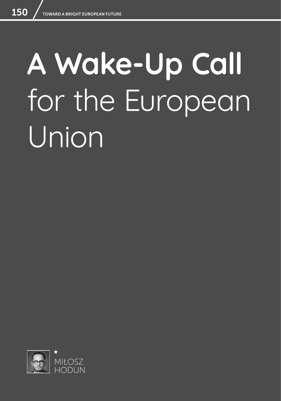## **A Wake-Up Call**  for the European Union

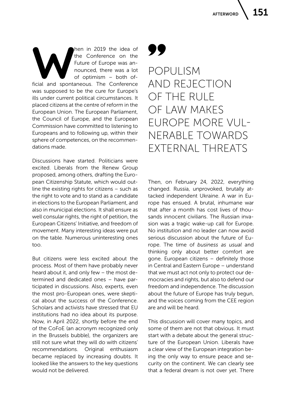**Many in 2019 the idea of**<br> **Hen in 2019 the idea of**<br> **Future of Europe was an-<br>
nounced, there was a lot<br>
of optimism – both of-<br>
ficial and spontaneous. The Conference** the Conference on the Future of Europe was announced, there was a lot of optimism – both ofwas supposed to be the cure for Europe's ills under current political circumstances. It placed citizens at the centre of reform in the European Union. The European Parliament, the Council of Europe, and the European Commission have committed to listening to Europeans and to following up, within their sphere of competences, on the recommendations made.

Discussions have started. Politicians were excited. Liberals from the Renew Group proposed, among others, drafting the European Citizenship Statute, which would outline the existing rights for citizens – such as the right to vote and to stand as a candidate in elections to the European Parliament, and also in municipal elections. It shall ensure as well consular rights, the right of petition, the European Citizens' Initiative, and freedom of movement. Many interesting ideas were put on the table. Numerous uninteresting ones too.

But citizens were less excited about the process. Most of them have probably never heard about it, and only few – the most determined and dedicated ones – have participated in discussions. Also, experts, even the most pro-European ones, were skeptical about the success of the Conference. Scholars and activists have stressed that EU institutions had no idea about its purpose. Now, in April 2022, shortly before the end of the CoFoE (an acronym recognized only in the Brussels bubble), the organizers are still not sure what they will do with citizens' recommendations. Original enthusiasm became replaced by increasing doubts. It looked like the answers to the key questions would not be delivered.

## 99

POPULISM AND REJECTION OF THE RULE OF LAW MAKES EUROPE MORE VUL-NERABLE TOWARDS EXTERNAL THREATS

Then, on February 24, 2022, everything changed. Russia, unprovoked, brutally attacked independent Ukraine. A war in Europe has ensued. A brutal, inhumane war that after a month has cost lives of thousands innocent civilians. The Russian invasion was a tragic wake-up call for Europe. No institution and no leader can now avoid serious discussion about the future of Europe. The time of *business as usual* and thinking only about better comfort are gone. European citizens – definitely those in Central and Eastern Europe – understand that we must act not only to protect our democracies and rights, but also to defend our freedom and independence. The discussion about the future of Europe has truly begun, and the voices coming from the CEE region are and will be heard.

This discussion will cover many topics, and some of them are not that obvious. It must start with a debate about the general structure of the European Union. Liberals have a clear view of the European integration being the only way to ensure peace and security on the continent. We can clearly see that a federal dream is not over yet. There